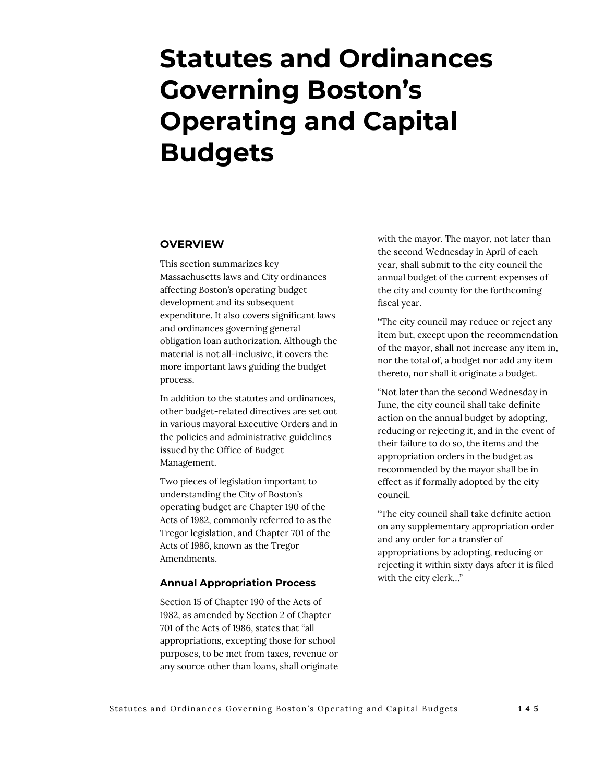# **Statutes and Ordinances Governing Boston's Operating and Capital Budgets**

# **OVERVIEW**

This section summarizes key Massachusetts laws and City ordinances affecting Boston's operating budget development and its subsequent expenditure. It also covers significant laws and ordinances governing general obligation loan authorization. Although the material is not all-inclusive, it covers the more important laws guiding the budget process.

In addition to the statutes and ordinances, other budget-related directives are set out in various mayoral Executive Orders and in the policies and administrative guidelines issued by the Office of Budget Management.

Two pieces of legislation important to understanding the City of Boston's operating budget are Chapter 190 of the Acts of 1982, commonly referred to as the Tregor legislation, and Chapter 701 of the Acts of 1986, known as the Tregor Amendments.

#### **Annual Appropriation Process**

Section 15 of Chapter 190 of the Acts of 1982, as amended by Section 2 of Chapter 701 of the Acts of 1986, states that "all appropriations, excepting those for school purposes, to be met from taxes, revenue or any source other than loans, shall originate

with the mayor. The mayor, not later than the second Wednesday in April of each year, shall submit to the city council the annual budget of the current expenses of the city and county for the forthcoming fiscal year.

"The city council may reduce or reject any item but, except upon the recommendation of the mayor, shall not increase any item in, nor the total of, a budget nor add any item thereto, nor shall it originate a budget.

"Not later than the second Wednesday in June, the city council shall take definite action on the annual budget by adopting, reducing or rejecting it, and in the event of their failure to do so, the items and the appropriation orders in the budget as recommended by the mayor shall be in effect as if formally adopted by the city council.

"The city council shall take definite action on any supplementary appropriation order and any order for a transfer of appropriations by adopting, reducing or rejecting it within sixty days after it is filed with the city clerk…"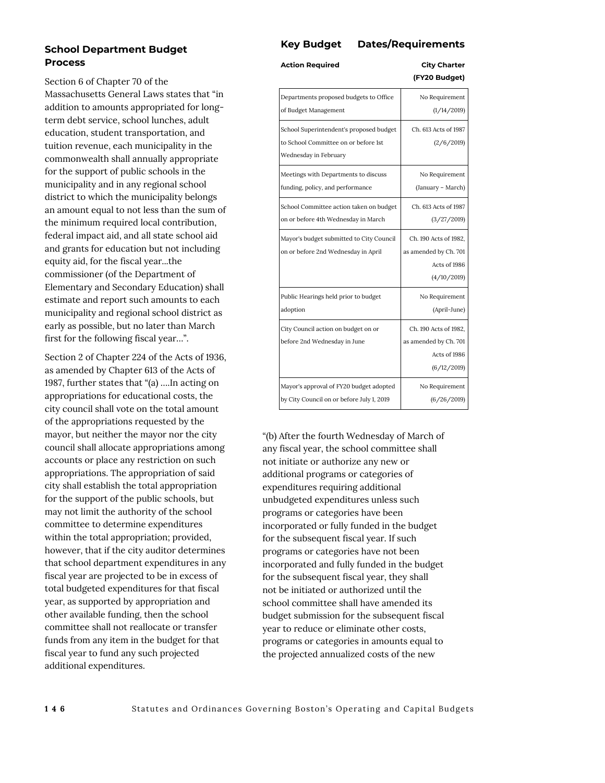## **School Department Budget Process**

Section 6 of Chapter 70 of the Massachusetts General Laws states that "in addition to amounts appropriated for longterm debt service, school lunches, adult education, student transportation, and tuition revenue, each municipality in the commonwealth shall annually appropriate for the support of public schools in the municipality and in any regional school district to which the municipality belongs an amount equal to not less than the sum of the minimum required local contribution, federal impact aid, and all state school aid and grants for education but not including equity aid, for the fiscal year...the commissioner (of the Department of Elementary and Secondary Education) shall estimate and report such amounts to each municipality and regional school district as early as possible, but no later than March first for the following fiscal year…".

Section 2 of Chapter 224 of the Acts of 1936, as amended by Chapter 613 of the Acts of 1987, further states that "(a) ….In acting on appropriations for educational costs, the city council shall vote on the total amount of the appropriations requested by the mayor, but neither the mayor nor the city council shall allocate appropriations among accounts or place any restriction on such appropriations. The appropriation of said city shall establish the total appropriation for the support of the public schools, but may not limit the authority of the school committee to determine expenditures within the total appropriation; provided, however, that if the city auditor determines that school department expenditures in any fiscal year are projected to be in excess of total budgeted expenditures for that fiscal year, as supported by appropriation and other available funding, then the school committee shall not reallocate or transfer funds from any item in the budget for that fiscal year to fund any such projected additional expenditures.

## **Key Budget Dates/Requirements**

| <b>Action Required</b>                                                                                   | <b>City Charter</b><br>(FY20 Budget)                                          |
|----------------------------------------------------------------------------------------------------------|-------------------------------------------------------------------------------|
| Departments proposed budgets to Office                                                                   | No Requirement                                                                |
| of Budget Management                                                                                     | (1/14/2019)                                                                   |
| School Superintendent's proposed budget<br>to School Committee on or before 1st<br>Wednesday in February | Ch. 613 Acts of 1987<br>(2/6/2019)                                            |
| Meetings with Departments to discuss                                                                     | No Requirement                                                                |
| funding, policy, and performance                                                                         | (January - March)                                                             |
| School Committee action taken on budget                                                                  | Ch. 613 Acts of 1987                                                          |
| on or before 4th Wednesday in March                                                                      | (3/27/2019)                                                                   |
| Mayor's budget submitted to City Council<br>on or before 2nd Wednesday in April                          | Ch. 190 Acts of 1982,<br>as amended by Ch. 701<br>Acts of 1986<br>(4/10/2019) |
| Public Hearings held prior to budget                                                                     | No Requirement                                                                |
| adoption                                                                                                 | (April-June)                                                                  |
| City Council action on budget on or<br>before 2nd Wednesday in June                                      | Ch. 190 Acts of 1982,<br>as amended by Ch. 701<br>Acts of 1986<br>(6/12/2019) |
| Mayor's approval of FY20 budget adopted                                                                  | No Requirement                                                                |
| by City Council on or before July 1, 2019                                                                | (6/26/2019)                                                                   |

"(b) After the fourth Wednesday of March of any fiscal year, the school committee shall not initiate or authorize any new or additional programs or categories of expenditures requiring additional unbudgeted expenditures unless such programs or categories have been incorporated or fully funded in the budget for the subsequent fiscal year. If such programs or categories have not been incorporated and fully funded in the budget for the subsequent fiscal year, they shall not be initiated or authorized until the school committee shall have amended its budget submission for the subsequent fiscal year to reduce or eliminate other costs, programs or categories in amounts equal to the projected annualized costs of the new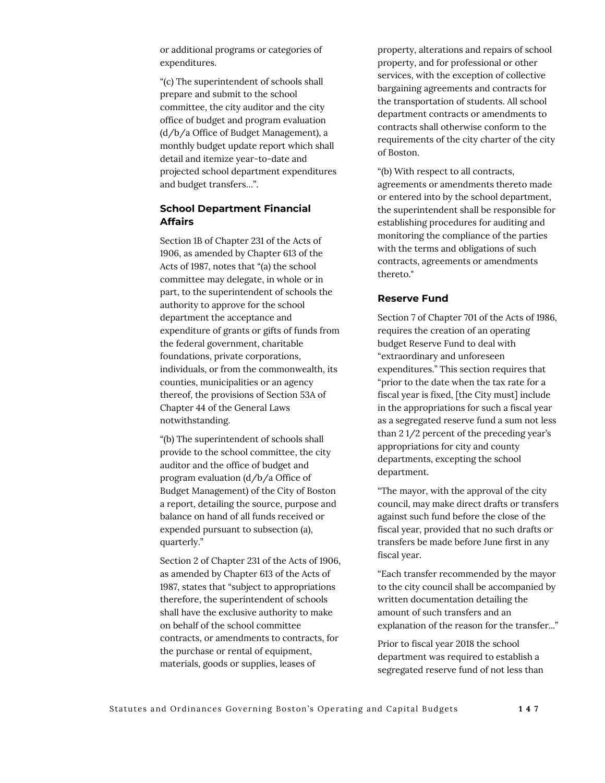or additional programs or categories of expenditures.

"(c) The superintendent of schools shall prepare and submit to the school committee, the city auditor and the city office of budget and program evaluation (d/b/a Office of Budget Management), a monthly budget update report which shall detail and itemize year-to-date and projected school department expenditures and budget transfers…".

#### **School Department Financial Affairs**

Section 1B of Chapter 231 of the Acts of 1906, as amended by Chapter 613 of the Acts of 1987, notes that "(a) the school committee may delegate, in whole or in part, to the superintendent of schools the authority to approve for the school department the acceptance and expenditure of grants or gifts of funds from the federal government, charitable foundations, private corporations, individuals, or from the commonwealth, its counties, municipalities or an agency thereof, the provisions of Section 53A of Chapter 44 of the General Laws notwithstanding.

"(b) The superintendent of schools shall provide to the school committee, the city auditor and the office of budget and program evaluation (d/b/a Office of Budget Management) of the City of Boston a report, detailing the source, purpose and balance on hand of all funds received or expended pursuant to subsection (a), quarterly."

Section 2 of Chapter 231 of the Acts of 1906, as amended by Chapter 613 of the Acts of 1987, states that "subject to appropriations therefore, the superintendent of schools shall have the exclusive authority to make on behalf of the school committee contracts, or amendments to contracts, for the purchase or rental of equipment, materials, goods or supplies, leases of

property, alterations and repairs of school property, and for professional or other services, with the exception of collective bargaining agreements and contracts for the transportation of students. All school department contracts or amendments to contracts shall otherwise conform to the requirements of the city charter of the city of Boston.

"(b) With respect to all contracts, agreements or amendments thereto made or entered into by the school department, the superintendent shall be responsible for establishing procedures for auditing and monitoring the compliance of the parties with the terms and obligations of such contracts, agreements or amendments thereto."

#### **Reserve Fund**

Section 7 of Chapter 701 of the Acts of 1986, requires the creation of an operating budget Reserve Fund to deal with "extraordinary and unforeseen expenditures." This section requires that "prior to the date when the tax rate for a fiscal year is fixed, [the City must] include in the appropriations for such a fiscal year as a segregated reserve fund a sum not less than 2 1/2 percent of the preceding year's appropriations for city and county departments, excepting the school department.

"The mayor, with the approval of the city council, may make direct drafts or transfers against such fund before the close of the fiscal year, provided that no such drafts or transfers be made before June first in any fiscal year.

"Each transfer recommended by the mayor to the city council shall be accompanied by written documentation detailing the amount of such transfers and an explanation of the reason for the transfer..."

Prior to fiscal year 2018 the school department was required to establish a segregated reserve fund of not less than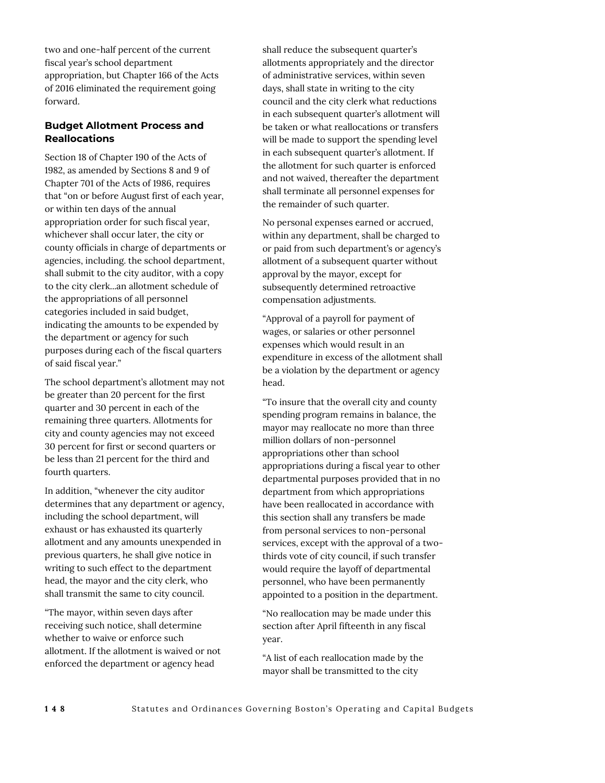two and one-half percent of the current fiscal year's school department appropriation, but Chapter 166 of the Acts of 2016 eliminated the requirement going forward.

# **Budget Allotment Process and Reallocations**

Section 18 of Chapter 190 of the Acts of 1982, as amended by Sections 8 and 9 of Chapter 701 of the Acts of 1986, requires that "on or before August first of each year, or within ten days of the annual appropriation order for such fiscal year, whichever shall occur later, the city or county officials in charge of departments or agencies, including. the school department, shall submit to the city auditor, with a copy to the city clerk...an allotment schedule of the appropriations of all personnel categories included in said budget, indicating the amounts to be expended by the department or agency for such purposes during each of the fiscal quarters of said fiscal year."

The school department's allotment may not be greater than 20 percent for the first quarter and 30 percent in each of the remaining three quarters. Allotments for city and county agencies may not exceed 30 percent for first or second quarters or be less than 21 percent for the third and fourth quarters.

In addition, "whenever the city auditor determines that any department or agency, including the school department, will exhaust or has exhausted its quarterly allotment and any amounts unexpended in previous quarters, he shall give notice in writing to such effect to the department head, the mayor and the city clerk, who shall transmit the same to city council.

"The mayor, within seven days after receiving such notice, shall determine whether to waive or enforce such allotment. If the allotment is waived or not enforced the department or agency head

shall reduce the subsequent quarter's allotments appropriately and the director of administrative services, within seven days, shall state in writing to the city council and the city clerk what reductions in each subsequent quarter's allotment will be taken or what reallocations or transfers will be made to support the spending level in each subsequent quarter's allotment. If the allotment for such quarter is enforced and not waived, thereafter the department shall terminate all personnel expenses for the remainder of such quarter.

No personal expenses earned or accrued, within any department, shall be charged to or paid from such department's or agency's allotment of a subsequent quarter without approval by the mayor, except for subsequently determined retroactive compensation adjustments.

"Approval of a payroll for payment of wages, or salaries or other personnel expenses which would result in an expenditure in excess of the allotment shall be a violation by the department or agency head.

"To insure that the overall city and county spending program remains in balance, the mayor may reallocate no more than three million dollars of non-personnel appropriations other than school appropriations during a fiscal year to other departmental purposes provided that in no department from which appropriations have been reallocated in accordance with this section shall any transfers be made from personal services to non-personal services, except with the approval of a twothirds vote of city council, if such transfer would require the layoff of departmental personnel, who have been permanently appointed to a position in the department.

"No reallocation may be made under this section after April fifteenth in any fiscal year.

"A list of each reallocation made by the mayor shall be transmitted to the city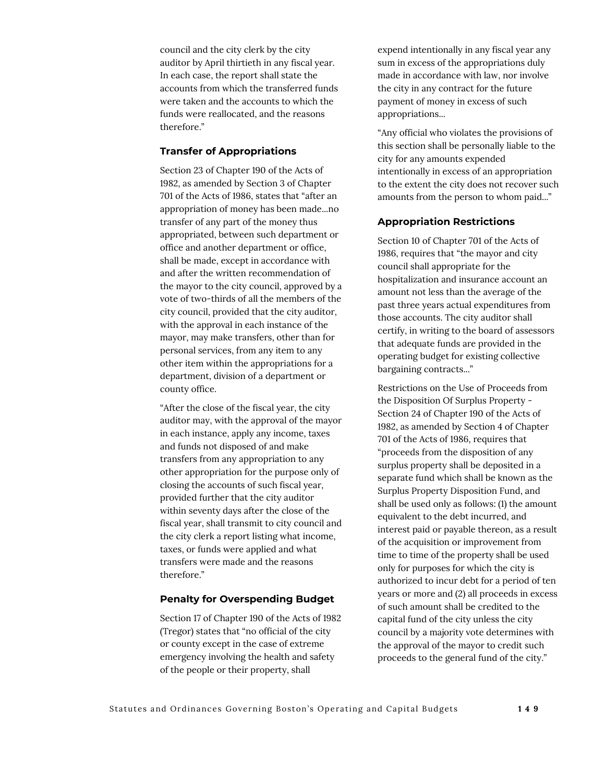council and the city clerk by the city auditor by April thirtieth in any fiscal year. In each case, the report shall state the accounts from which the transferred funds were taken and the accounts to which the funds were reallocated, and the reasons therefore."

#### **Transfer of Appropriations**

Section 23 of Chapter 190 of the Acts of 1982, as amended by Section 3 of Chapter 701 of the Acts of 1986, states that "after an appropriation of money has been made...no transfer of any part of the money thus appropriated, between such department or office and another department or office, shall be made, except in accordance with and after the written recommendation of the mayor to the city council, approved by a vote of two-thirds of all the members of the city council, provided that the city auditor, with the approval in each instance of the mayor, may make transfers, other than for personal services, from any item to any other item within the appropriations for a department, division of a department or county office.

"After the close of the fiscal year, the city auditor may, with the approval of the mayor in each instance, apply any income, taxes and funds not disposed of and make transfers from any appropriation to any other appropriation for the purpose only of closing the accounts of such fiscal year, provided further that the city auditor within seventy days after the close of the fiscal year, shall transmit to city council and the city clerk a report listing what income, taxes, or funds were applied and what transfers were made and the reasons therefore."

#### **Penalty for Overspending Budget**

Section 17 of Chapter 190 of the Acts of 1982 (Tregor) states that "no official of the city or county except in the case of extreme emergency involving the health and safety of the people or their property, shall

expend intentionally in any fiscal year any sum in excess of the appropriations duly made in accordance with law, nor involve the city in any contract for the future payment of money in excess of such appropriations...

"Any official who violates the provisions of this section shall be personally liable to the city for any amounts expended intentionally in excess of an appropriation to the extent the city does not recover such amounts from the person to whom paid..."

#### **Appropriation Restrictions**

Section 10 of Chapter 701 of the Acts of 1986, requires that "the mayor and city council shall appropriate for the hospitalization and insurance account an amount not less than the average of the past three years actual expenditures from those accounts. The city auditor shall certify, in writing to the board of assessors that adequate funds are provided in the operating budget for existing collective bargaining contracts..."

Restrictions on the Use of Proceeds from the Disposition Of Surplus Property - Section 24 of Chapter 190 of the Acts of 1982, as amended by Section 4 of Chapter 701 of the Acts of 1986, requires that "proceeds from the disposition of any surplus property shall be deposited in a separate fund which shall be known as the Surplus Property Disposition Fund, and shall be used only as follows: (1) the amount equivalent to the debt incurred, and interest paid or payable thereon, as a result of the acquisition or improvement from time to time of the property shall be used only for purposes for which the city is authorized to incur debt for a period of ten years or more and (2) all proceeds in excess of such amount shall be credited to the capital fund of the city unless the city council by a majority vote determines with the approval of the mayor to credit such proceeds to the general fund of the city."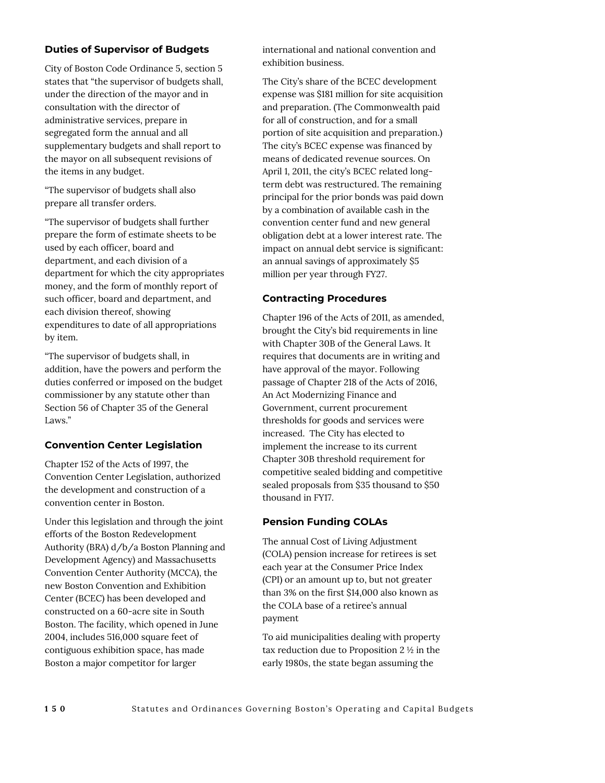# **Duties of Supervisor of Budgets**

City of Boston Code Ordinance 5, section 5 states that "the supervisor of budgets shall, under the direction of the mayor and in consultation with the director of administrative services, prepare in segregated form the annual and all supplementary budgets and shall report to the mayor on all subsequent revisions of the items in any budget.

"The supervisor of budgets shall also prepare all transfer orders.

"The supervisor of budgets shall further prepare the form of estimate sheets to be used by each officer, board and department, and each division of a department for which the city appropriates money, and the form of monthly report of such officer, board and department, and each division thereof, showing expenditures to date of all appropriations by item.

"The supervisor of budgets shall, in addition, have the powers and perform the duties conferred or imposed on the budget commissioner by any statute other than Section 56 of Chapter 35 of the General Laws."

#### **Convention Center Legislation**

Chapter 152 of the Acts of 1997, the Convention Center Legislation, authorized the development and construction of a convention center in Boston.

Under this legislation and through the joint efforts of the Boston Redevelopment Authority (BRA) d/b/a Boston Planning and Development Agency) and Massachusetts Convention Center Authority (MCCA), the new Boston Convention and Exhibition Center (BCEC) has been developed and constructed on a 60-acre site in South Boston. The facility, which opened in June 2004, includes 516,000 square feet of contiguous exhibition space, has made Boston a major competitor for larger

international and national convention and exhibition business.

The City's share of the BCEC development expense was \$181 million for site acquisition and preparation. (The Commonwealth paid for all of construction, and for a small portion of site acquisition and preparation.) The city's BCEC expense was financed by means of dedicated revenue sources. On April 1, 2011, the city's BCEC related longterm debt was restructured. The remaining principal for the prior bonds was paid down by a combination of available cash in the convention center fund and new general obligation debt at a lower interest rate. The impact on annual debt service is significant: an annual savings of approximately \$5 million per year through FY27.

# **Contracting Procedures**

Chapter 196 of the Acts of 2011, as amended, brought the City's bid requirements in line with Chapter 30B of the General Laws. It requires that documents are in writing and have approval of the mayor. Following passage of Chapter 218 of the Acts of 2016, An Act Modernizing Finance and Government, current procurement thresholds for goods and services were increased. The City has elected to implement the increase to its current Chapter 30B threshold requirement for competitive sealed bidding and competitive sealed proposals from \$35 thousand to \$50 thousand in FY17.

# **Pension Funding COLAs**

The annual Cost of Living Adjustment (COLA) pension increase for retirees is set each year at the Consumer Price Index (CPI) or an amount up to, but not greater than 3% on the first \$14,000 also known as the COLA base of a retiree's annual payment

To aid municipalities dealing with property tax reduction due to Proposition 2 ½ in the early 1980s, the state began assuming the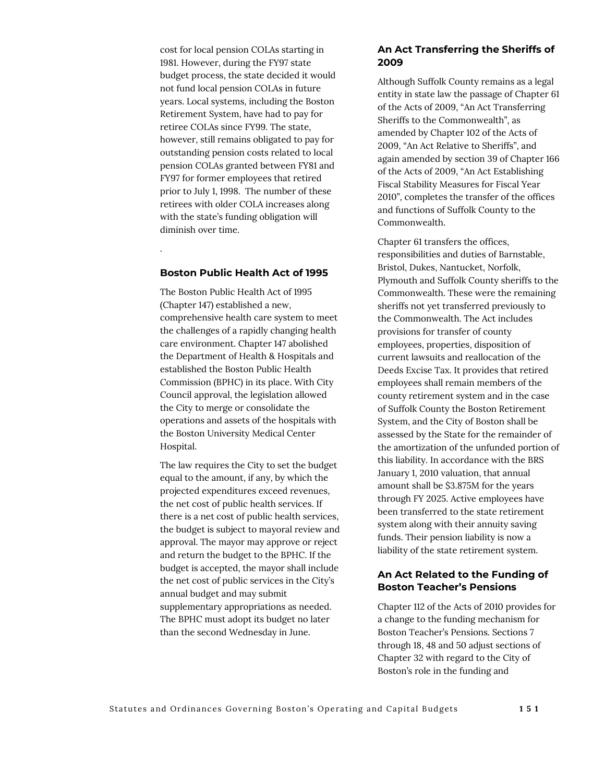cost for local pension COLAs starting in 1981. However, during the FY97 state budget process, the state decided it would not fund local pension COLAs in future years. Local systems, including the Boston Retirement System, have had to pay for retiree COLAs since FY99. The state, however, still remains obligated to pay for outstanding pension costs related to local pension COLAs granted between FY81 and FY97 for former employees that retired prior to July 1, 1998. The number of these retirees with older COLA increases along with the state's funding obligation will diminish over time.

#### **Boston Public Health Act of 1995**

.

The Boston Public Health Act of 1995 (Chapter 147) established a new, comprehensive health care system to meet the challenges of a rapidly changing health care environment. Chapter 147 abolished the Department of Health & Hospitals and established the Boston Public Health Commission (BPHC) in its place. With City Council approval, the legislation allowed the City to merge or consolidate the operations and assets of the hospitals with the Boston University Medical Center Hospital.

The law requires the City to set the budget equal to the amount, if any, by which the projected expenditures exceed revenues, the net cost of public health services. If there is a net cost of public health services, the budget is subject to mayoral review and approval. The mayor may approve or reject and return the budget to the BPHC. If the budget is accepted, the mayor shall include the net cost of public services in the City's annual budget and may submit supplementary appropriations as needed. The BPHC must adopt its budget no later than the second Wednesday in June.

#### **An Act Transferring the Sheriffs of 2009**

Although Suffolk County remains as a legal entity in state law the passage of Chapter 61 of the Acts of 2009, "An Act Transferring Sheriffs to the Commonwealth", as amended by Chapter 102 of the Acts of 2009, "An Act Relative to Sheriffs", and again amended by section 39 of Chapter 166 of the Acts of 2009, "An Act Establishing Fiscal Stability Measures for Fiscal Year 2010", completes the transfer of the offices and functions of Suffolk County to the Commonwealth.

Chapter 61 transfers the offices, responsibilities and duties of Barnstable, Bristol, Dukes, Nantucket, Norfolk, Plymouth and Suffolk County sheriffs to the Commonwealth. These were the remaining sheriffs not yet transferred previously to the Commonwealth. The Act includes provisions for transfer of county employees, properties, disposition of current lawsuits and reallocation of the Deeds Excise Tax. It provides that retired employees shall remain members of the county retirement system and in the case of Suffolk County the Boston Retirement System, and the City of Boston shall be assessed by the State for the remainder of the amortization of the unfunded portion of this liability. In accordance with the BRS January 1, 2010 valuation, that annual amount shall be \$3.875M for the years through FY 2025. Active employees have been transferred to the state retirement system along with their annuity saving funds. Their pension liability is now a liability of the state retirement system.

### **An Act Related to the Funding of Boston Teacher's Pensions**

Chapter 112 of the Acts of 2010 provides for a change to the funding mechanism for Boston Teacher's Pensions. Sections 7 through 18, 48 and 50 adjust sections of Chapter 32 with regard to the City of Boston's role in the funding and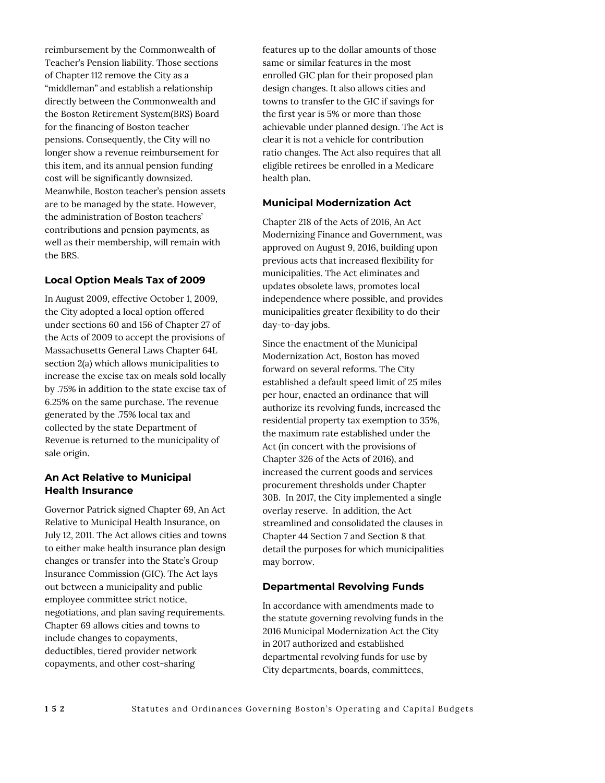reimbursement by the Commonwealth of Teacher's Pension liability. Those sections of Chapter 112 remove the City as a "middleman" and establish a relationship directly between the Commonwealth and the Boston Retirement System(BRS) Board for the financing of Boston teacher pensions. Consequently, the City will no longer show a revenue reimbursement for this item, and its annual pension funding cost will be significantly downsized. Meanwhile, Boston teacher's pension assets are to be managed by the state. However, the administration of Boston teachers' contributions and pension payments, as well as their membership, will remain with the BRS.

# **Local Option Meals Tax of 2009**

In August 2009, effective October 1, 2009, the City adopted a local option offered under sections 60 and 156 of Chapter 27 of the Acts of 2009 to accept the provisions of Massachusetts General Laws Chapter 64L section 2(a) which allows municipalities to increase the excise tax on meals sold locally by .75% in addition to the state excise tax of 6.25% on the same purchase. The revenue generated by the .75% local tax and collected by the state Department of Revenue is returned to the municipality of sale origin.

## **An Act Relative to Municipal Health Insurance**

Governor Patrick signed Chapter 69, An Act Relative to Municipal Health Insurance, on July 12, 2011. The Act allows cities and towns to either make health insurance plan design changes or transfer into the State's Group Insurance Commission (GIC). The Act lays out between a municipality and public employee committee strict notice, negotiations, and plan saving requirements. Chapter 69 allows cities and towns to include changes to copayments, deductibles, tiered provider network copayments, and other cost-sharing

features up to the dollar amounts of those same or similar features in the most enrolled GIC plan for their proposed plan design changes. It also allows cities and towns to transfer to the GIC if savings for the first year is 5% or more than those achievable under planned design. The Act is clear it is not a vehicle for contribution ratio changes. The Act also requires that all eligible retirees be enrolled in a Medicare health plan.

## **Municipal Modernization Act**

Chapter 218 of the Acts of 2016, An Act Modernizing Finance and Government, was approved on August 9, 2016, building upon previous acts that increased flexibility for municipalities. The Act eliminates and updates obsolete laws, promotes local independence where possible, and provides municipalities greater flexibility to do their day-to-day jobs.

Since the enactment of the Municipal Modernization Act, Boston has moved forward on several reforms. The City established a default speed limit of 25 miles per hour, enacted an ordinance that will authorize its revolving funds, increased the residential property tax exemption to 35%, the maximum rate established under the Act (in concert with the provisions of Chapter 326 of the Acts of 2016), and increased the current goods and services procurement thresholds under Chapter 30B. In 2017, the City implemented a single overlay reserve. In addition, the Act streamlined and consolidated the clauses in Chapter 44 Section 7 and Section 8 that detail the purposes for which municipalities may borrow.

#### **Departmental Revolving Funds**

In accordance with amendments made to the statute governing revolving funds in the 2016 Municipal Modernization Act the City in 2017 authorized and established departmental revolving funds for use by City departments, boards, committees,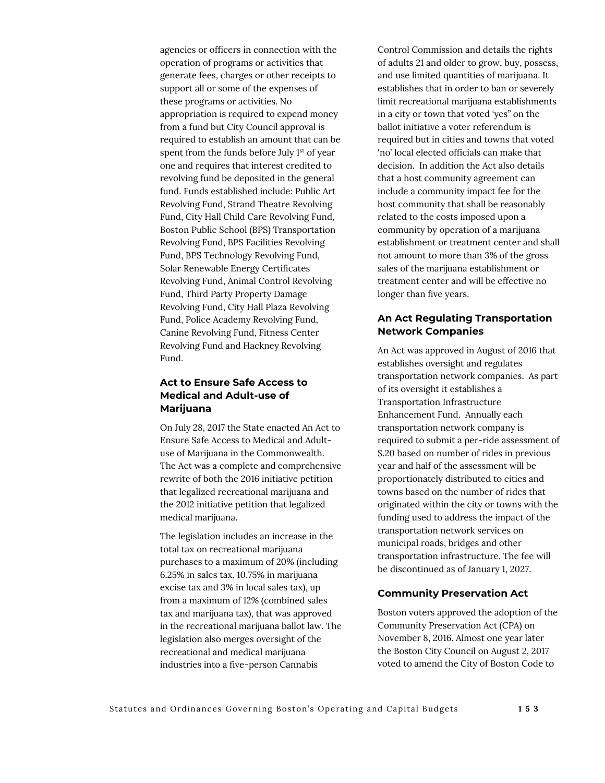agencies or officers in connection with the operation of programs or activities that generate fees, charges or other receipts to support all or some of the expenses of these programs or activities. No appropriation is required to expend money from a fund but City Council approval is required to establish an amount that can be spent from the funds before July 1<sup>st</sup> of year one and requires that interest credited to revolving fund be deposited in the general fund. Funds established include: Public Art Revolving Fund, Strand Theatre Revolving Fund, City Hall Child Care Revolving Fund, Boston Public School (BPS) Transportation Revolving Fund, BPS Facilities Revolving Fund, BPS Technology Revolving Fund, Solar Renewable Energy Certificates Revolving Fund, Animal Control Revolving Fund, Third Party Property Damage Revolving Fund, City Hall Plaza Revolving Fund, Police Academy Revolving Fund, Canine Revolving Fund, Fitness Center Revolving Fund and Hackney Revolving Fund.

# **Act to Ensure Safe Access to Medical and Adult-use of Marijuana**

On July 28, 2017 the State enacted An Act to Ensure Safe Access to Medical and Adultuse of Marijuana in the Commonwealth. The Act was a complete and comprehensive rewrite of both the 2016 initiative petition that legalized recreational marijuana and the 2012 initiative petition that legalized medical marijuana.

The legislation includes an increase in the total tax on recreational marijuana purchases to a maximum of 20% (including 6.25% in sales tax, 10.75% in marijuana excise tax and 3% in local sales tax), up from a maximum of 12% (combined sales tax and marijuana tax), that was approved in the recreational marijuana ballot law. The legislation also merges oversight of the recreational and medical marijuana industries into a five-person Cannabis

Control Commission and details the rights of adults 21 and older to grow, buy, possess, and use limited quantities of marijuana. It establishes that in order to ban or severely limit recreational marijuana establishments in a city or town that voted 'yes" on the ballot initiative a voter referendum is required but in cities and towns that voted 'no' local elected officials can make that decision. In addition the Act also details that a host community agreement can include a community impact fee for the host community that shall be reasonably related to the costs imposed upon a community by operation of a marijuana establishment or treatment center and shall not amount to more than 3% of the gross sales of the marijuana establishment or treatment center and will be effective no longer than five years.

# **An Act Regulating Transportation Network Companies**

An Act was approved in August of 2016 that establishes oversight and regulates transportation network companies. As part of its oversight it establishes a Transportation Infrastructure Enhancement Fund. Annually each transportation network company is required to submit a per-ride assessment of \$.20 based on number of rides in previous year and half of the assessment will be proportionately distributed to cities and towns based on the number of rides that originated within the city or towns with the funding used to address the impact of the transportation network services on municipal roads, bridges and other transportation infrastructure. The fee will be discontinued as of January 1, 2027.

#### **Community Preservation Act**

Boston voters approved the adoption of the Community Preservation Act (CPA) on November 8, 2016. Almost one year later the Boston City Council on August 2, 2017 voted to amend the City of Boston Code to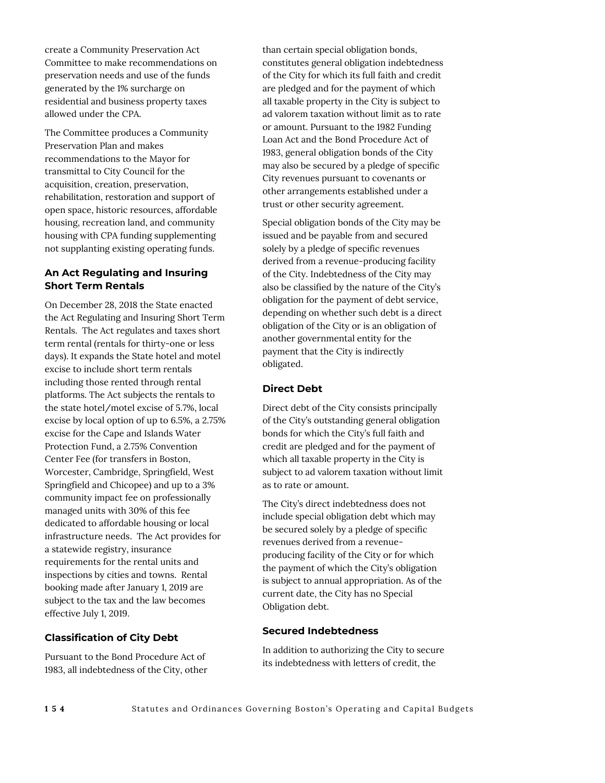create a Community Preservation Act Committee to make recommendations on preservation needs and use of the funds generated by the 1% surcharge on residential and business property taxes allowed under the CPA.

The Committee produces a Community Preservation Plan and makes recommendations to the Mayor for transmittal to City Council for the acquisition, creation, preservation, rehabilitation, restoration and support of open space, historic resources, affordable housing, recreation land, and community housing with CPA funding supplementing not supplanting existing operating funds.

# **An Act Regulating and Insuring Short Term Rentals**

On December 28, 2018 the State enacted the Act Regulating and Insuring Short Term Rentals. The Act regulates and taxes short term rental (rentals for thirty-one or less days). It expands the State hotel and motel excise to include short term rentals including those rented through rental platforms. The Act subjects the rentals to the state hotel/motel excise of 5.7%, local excise by local option of up to 6.5%, a 2.75% excise for the Cape and Islands Water Protection Fund, a 2.75% Convention Center Fee (for transfers in Boston, Worcester, Cambridge, Springfield, West Springfield and Chicopee) and up to a 3% community impact fee on professionally managed units with 30% of this fee dedicated to affordable housing or local infrastructure needs. The Act provides for a statewide registry, insurance requirements for the rental units and inspections by cities and towns. Rental booking made after January 1, 2019 are subject to the tax and the law becomes effective July 1, 2019.

# **Classification of City Debt**

Pursuant to the Bond Procedure Act of 1983, all indebtedness of the City, other than certain special obligation bonds, constitutes general obligation indebtedness of the City for which its full faith and credit are pledged and for the payment of which all taxable property in the City is subject to ad valorem taxation without limit as to rate or amount. Pursuant to the 1982 Funding Loan Act and the Bond Procedure Act of 1983, general obligation bonds of the City may also be secured by a pledge of specific City revenues pursuant to covenants or other arrangements established under a trust or other security agreement.

Special obligation bonds of the City may be issued and be payable from and secured solely by a pledge of specific revenues derived from a revenue-producing facility of the City. Indebtedness of the City may also be classified by the nature of the City's obligation for the payment of debt service, depending on whether such debt is a direct obligation of the City or is an obligation of another governmental entity for the payment that the City is indirectly obligated.

# **Direct Debt**

Direct debt of the City consists principally of the City's outstanding general obligation bonds for which the City's full faith and credit are pledged and for the payment of which all taxable property in the City is subject to ad valorem taxation without limit as to rate or amount.

The City's direct indebtedness does not include special obligation debt which may be secured solely by a pledge of specific revenues derived from a revenueproducing facility of the City or for which the payment of which the City's obligation is subject to annual appropriation. As of the current date, the City has no Special Obligation debt.

# **Secured Indebtedness**

In addition to authorizing the City to secure its indebtedness with letters of credit, the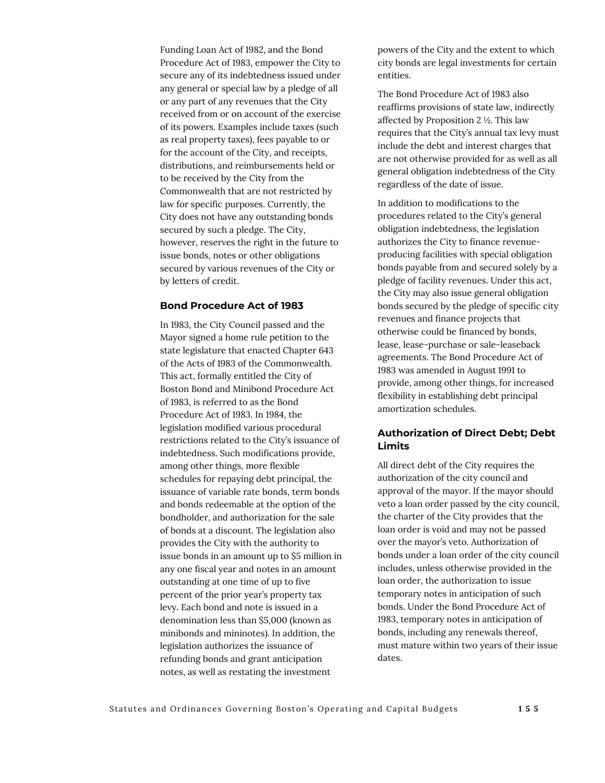Funding Loan Act of 1982, and the Bond Procedure Act of 1983, empower the City to secure any of its indebtedness issued under any general or special law by a pledge of all or any part of any revenues that the City received from or on account of the exercise of its powers. Examples include taxes (such as real property taxes), fees payable to or for the account of the City, and receipts, distributions, and reimbursements held or to be received by the City from the Commonwealth that are not restricted by law for specific purposes. Currently, the City does not have any outstanding bonds secured by such a pledge. The City, however, reserves the right in the future to issue bonds, notes or other obligations secured by various revenues of the City or by letters of credit.

#### **Bond Procedure Act of 1983**

In 1983, the City Council passed and the Mayor signed a home rule petition to the state legislature that enacted Chapter 643 of the Acts of 1983 of the Commonwealth. This act, formally entitled the City of Boston Bond and Minibond Procedure Act of 1983, is referred to as the Bond Procedure Act of 1983. In 1984, the legislation modified various procedural restrictions related to the City's issuance of indebtedness. Such modifications provide, among other things, more flexible schedules for repaying debt principal, the issuance of variable rate bonds, term bonds and bonds redeemable at the option of the bondholder, and authorization for the sale of bonds at a discount. The legislation also provides the City with the authority to issue bonds in an amount up to \$5 million in any one fiscal year and notes in an amount outstanding at one time of up to five percent of the prior year's property tax levy. Each bond and note is issued in a denomination less than \$5,000 (known as minibonds and mininotes). In addition, the legislation authorizes the issuance of refunding bonds and grant anticipation notes, as well as restating the investment

powers of the City and the extent to which city bonds are legal investments for certain entities.

The Bond Procedure Act of 1983 also reaffirms provisions of state law, indirectly affected by Proposition 2 ½. This law requires that the City's annual tax levy must include the debt and interest charges that are not otherwise provided for as well as all general obligation indebtedness of the City regardless of the date of issue.

In addition to modifications to the procedures related to the City's general obligation indebtedness, the legislation authorizes the City to finance revenueproducing facilities with special obligation bonds payable from and secured solely by a pledge of facility revenues. Under this act, the City may also issue general obligation bonds secured by the pledge of specific city revenues and finance projects that otherwise could be financed by bonds, lease, lease-purchase or sale-leaseback agreements. The Bond Procedure Act of 1983 was amended in August 1991 to provide, among other things, for increased flexibility in establishing debt principal amortization schedules.

## **Authorization of Direct Debt; Debt Limits**

All direct debt of the City requires the authorization of the city council and approval of the mayor. If the mayor should veto a loan order passed by the city council, the charter of the City provides that the loan order is void and may not be passed over the mayor's veto. Authorization of bonds under a loan order of the city council includes, unless otherwise provided in the loan order, the authorization to issue temporary notes in anticipation of such bonds. Under the Bond Procedure Act of 1983, temporary notes in anticipation of bonds, including any renewals thereof, must mature within two years of their issue dates.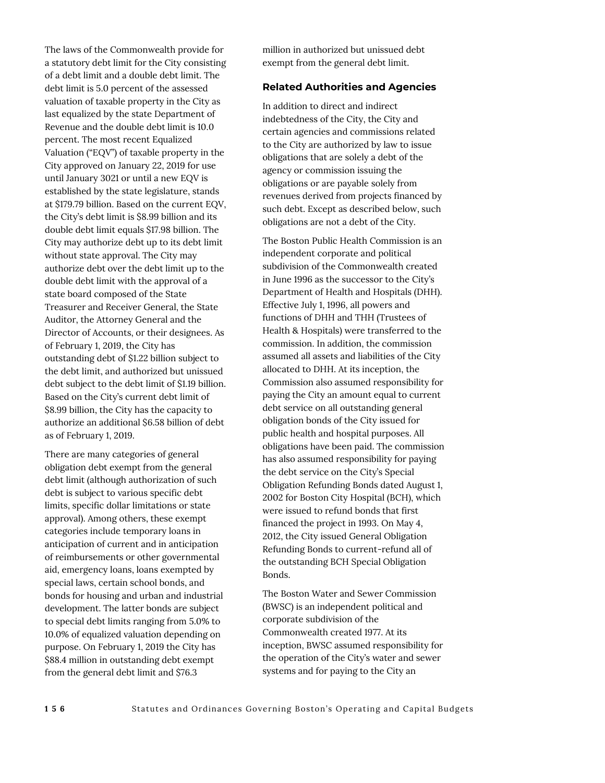The laws of the Commonwealth provide for a statutory debt limit for the City consisting of a debt limit and a double debt limit. The debt limit is 5.0 percent of the assessed valuation of taxable property in the City as last equalized by the state Department of Revenue and the double debt limit is 10.0 percent. The most recent Equalized Valuation ("EQV") of taxable property in the City approved on January 22, 2019 for use until January 3021 or until a new EQV is established by the state legislature, stands at \$179.79 billion. Based on the current EQV, the City's debt limit is \$8.99 billion and its double debt limit equals \$17.98 billion. The City may authorize debt up to its debt limit without state approval. The City may authorize debt over the debt limit up to the double debt limit with the approval of a state board composed of the State Treasurer and Receiver General, the State Auditor, the Attorney General and the Director of Accounts, or their designees. As of February 1, 2019, the City has outstanding debt of \$1.22 billion subject to the debt limit, and authorized but unissued debt subject to the debt limit of \$1.19 billion. Based on the City's current debt limit of \$8.99 billion, the City has the capacity to authorize an additional \$6.58 billion of debt as of February 1, 2019.

There are many categories of general obligation debt exempt from the general debt limit (although authorization of such debt is subject to various specific debt limits, specific dollar limitations or state approval). Among others, these exempt categories include temporary loans in anticipation of current and in anticipation of reimbursements or other governmental aid, emergency loans, loans exempted by special laws, certain school bonds, and bonds for housing and urban and industrial development. The latter bonds are subject to special debt limits ranging from 5.0% to 10.0% of equalized valuation depending on purpose. On February 1, 2019 the City has \$88.4 million in outstanding debt exempt from the general debt limit and \$76.3

million in authorized but unissued debt exempt from the general debt limit.

#### **Related Authorities and Agencies**

In addition to direct and indirect indebtedness of the City, the City and certain agencies and commissions related to the City are authorized by law to issue obligations that are solely a debt of the agency or commission issuing the obligations or are payable solely from revenues derived from projects financed by such debt. Except as described below, such obligations are not a debt of the City.

The Boston Public Health Commission is an independent corporate and political subdivision of the Commonwealth created in June 1996 as the successor to the City's Department of Health and Hospitals (DHH). Effective July 1, 1996, all powers and functions of DHH and THH (Trustees of Health & Hospitals) were transferred to the commission. In addition, the commission assumed all assets and liabilities of the City allocated to DHH. At its inception, the Commission also assumed responsibility for paying the City an amount equal to current debt service on all outstanding general obligation bonds of the City issued for public health and hospital purposes. All obligations have been paid. The commission has also assumed responsibility for paying the debt service on the City's Special Obligation Refunding Bonds dated August 1, 2002 for Boston City Hospital (BCH), which were issued to refund bonds that first financed the project in 1993. On May 4, 2012, the City issued General Obligation Refunding Bonds to current-refund all of the outstanding BCH Special Obligation Bonds.

The Boston Water and Sewer Commission (BWSC) is an independent political and corporate subdivision of the Commonwealth created 1977. At its inception, BWSC assumed responsibility for the operation of the City's water and sewer systems and for paying to the City an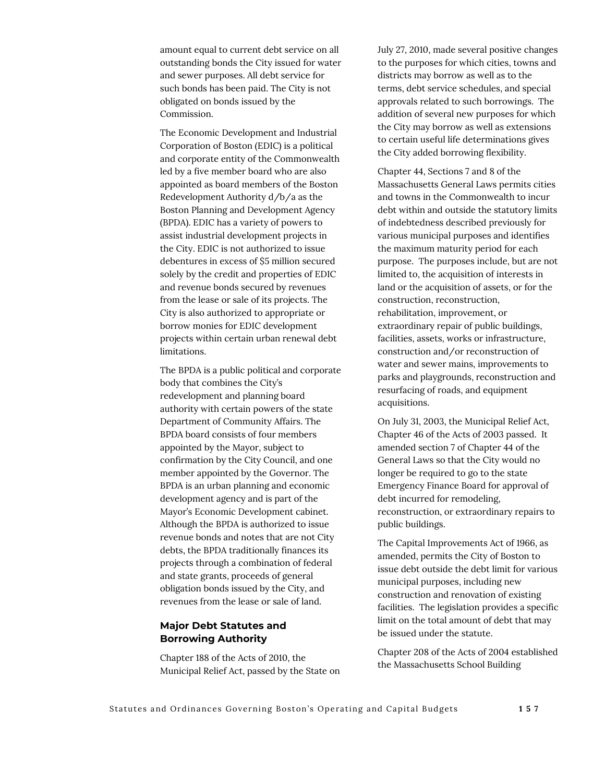amount equal to current debt service on all outstanding bonds the City issued for water and sewer purposes. All debt service for such bonds has been paid. The City is not obligated on bonds issued by the Commission.

The Economic Development and Industrial Corporation of Boston (EDIC) is a political and corporate entity of the Commonwealth led by a five member board who are also appointed as board members of the Boston Redevelopment Authority d/b/a as the Boston Planning and Development Agency (BPDA). EDIC has a variety of powers to assist industrial development projects in the City. EDIC is not authorized to issue debentures in excess of \$5 million secured solely by the credit and properties of EDIC and revenue bonds secured by revenues from the lease or sale of its projects. The City is also authorized to appropriate or borrow monies for EDIC development projects within certain urban renewal debt limitations.

The BPDA is a public political and corporate body that combines the City's redevelopment and planning board authority with certain powers of the state Department of Community Affairs. The BPDA board consists of four members appointed by the Mayor, subject to confirmation by the City Council, and one member appointed by the Governor. The BPDA is an urban planning and economic development agency and is part of the Mayor's Economic Development cabinet. Although the BPDA is authorized to issue revenue bonds and notes that are not City debts, the BPDA traditionally finances its projects through a combination of federal and state grants, proceeds of general obligation bonds issued by the City, and revenues from the lease or sale of land.

## **Major Debt Statutes and Borrowing Authority**

Chapter 188 of the Acts of 2010, the Municipal Relief Act, passed by the State on July 27, 2010, made several positive changes to the purposes for which cities, towns and districts may borrow as well as to the terms, debt service schedules, and special approvals related to such borrowings. The addition of several new purposes for which the City may borrow as well as extensions to certain useful life determinations gives the City added borrowing flexibility.

Chapter 44, Sections 7 and 8 of the Massachusetts General Laws permits cities and towns in the Commonwealth to incur debt within and outside the statutory limits of indebtedness described previously for various municipal purposes and identifies the maximum maturity period for each purpose. The purposes include, but are not limited to, the acquisition of interests in land or the acquisition of assets, or for the construction, reconstruction, rehabilitation, improvement, or extraordinary repair of public buildings, facilities, assets, works or infrastructure, construction and/or reconstruction of water and sewer mains, improvements to parks and playgrounds, reconstruction and resurfacing of roads, and equipment acquisitions.

On July 31, 2003, the Municipal Relief Act, Chapter 46 of the Acts of 2003 passed. It amended section 7 of Chapter 44 of the General Laws so that the City would no longer be required to go to the state Emergency Finance Board for approval of debt incurred for remodeling, reconstruction, or extraordinary repairs to public buildings.

The Capital Improvements Act of 1966, as amended, permits the City of Boston to issue debt outside the debt limit for various municipal purposes, including new construction and renovation of existing facilities. The legislation provides a specific limit on the total amount of debt that may be issued under the statute.

Chapter 208 of the Acts of 2004 established the Massachusetts School Building